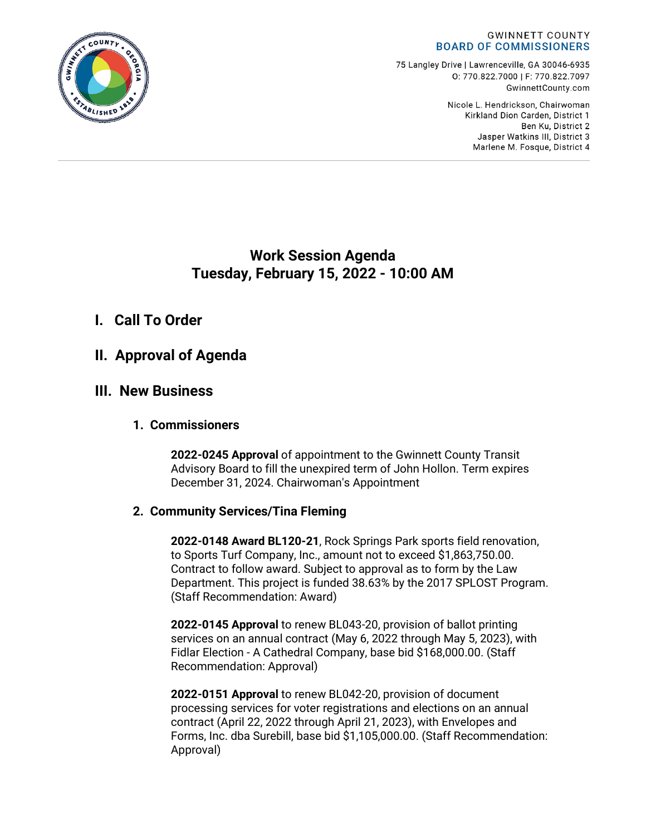

75 Langley Drive | Lawrenceville, GA 30046-6935 0:770.822.7000 | F: 770.822.7097 GwinnettCounty.com

> Nicole L. Hendrickson, Chairwoman Kirkland Dion Carden, District 1 Ben Ku. District 2 Jasper Watkins III, District 3 Marlene M. Fosque, District 4

# **Work Session Agenda Tuesday, February 15, 2022 - 10:00 AM**

# **I. Call To Order**

# **II. Approval of Agenda**

# **III. New Business**

## **1. Commissioners**

**2022-0245 Approval** of appointment to the Gwinnett County Transit Advisory Board to fill the unexpired term of John Hollon. Term expires December 31, 2024. Chairwoman's Appointment

## **2. Community Services/Tina Fleming**

**2022-0148 Award BL120-21**, Rock Springs Park sports field renovation, to Sports Turf Company, Inc., amount not to exceed \$1,863,750.00. Contract to follow award. Subject to approval as to form by the Law Department. This project is funded 38.63% by the 2017 SPLOST Program. (Staff Recommendation: Award)

**2022-0145 Approval** to renew BL043-20, provision of ballot printing services on an annual contract (May 6, 2022 through May 5, 2023), with Fidlar Election - A Cathedral Company, base bid \$168,000.00. (Staff Recommendation: Approval)

**2022-0151 Approval** to renew BL042-20, provision of document processing services for voter registrations and elections on an annual contract (April 22, 2022 through April 21, 2023), with Envelopes and Forms, Inc. dba Surebill, base bid \$1,105,000.00. (Staff Recommendation: Approval)

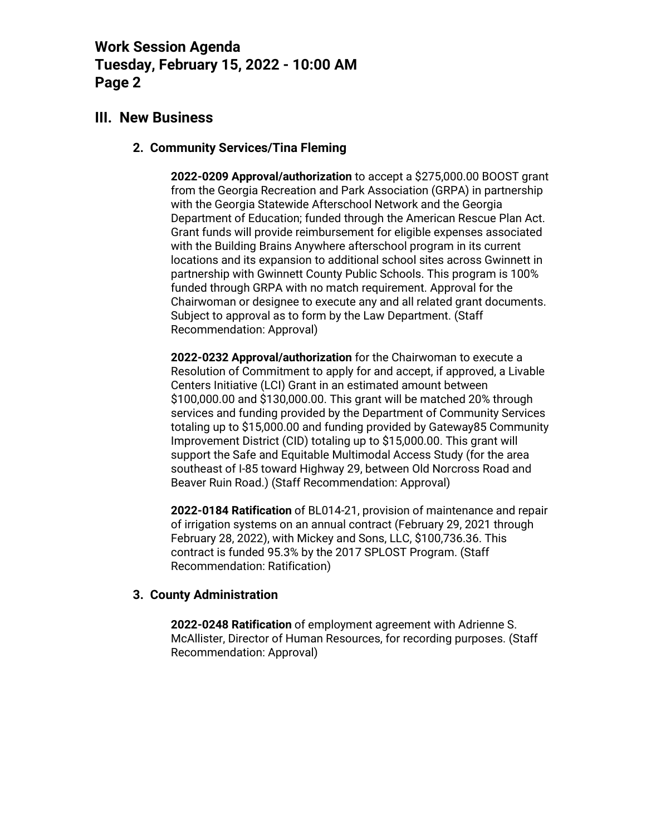## **III. New Business**

## **2. Community Services/Tina Fleming**

**2022-0209 Approval/authorization** to accept a \$275,000.00 BOOST grant from the Georgia Recreation and Park Association (GRPA) in partnership with the Georgia Statewide Afterschool Network and the Georgia Department of Education; funded through the American Rescue Plan Act. Grant funds will provide reimbursement for eligible expenses associated with the Building Brains Anywhere afterschool program in its current locations and its expansion to additional school sites across Gwinnett in partnership with Gwinnett County Public Schools. This program is 100% funded through GRPA with no match requirement. Approval for the Chairwoman or designee to execute any and all related grant documents. Subject to approval as to form by the Law Department. (Staff Recommendation: Approval)

**2022-0232 Approval/authorization** for the Chairwoman to execute a Resolution of Commitment to apply for and accept, if approved, a Livable Centers Initiative (LCI) Grant in an estimated amount between \$100,000.00 and \$130,000.00. This grant will be matched 20% through services and funding provided by the Department of Community Services totaling up to \$15,000.00 and funding provided by Gateway85 Community Improvement District (CID) totaling up to \$15,000.00. This grant will support the Safe and Equitable Multimodal Access Study (for the area southeast of I-85 toward Highway 29, between Old Norcross Road and Beaver Ruin Road.) (Staff Recommendation: Approval)

**2022-0184 Ratification** of BL014-21, provision of maintenance and repair of irrigation systems on an annual contract (February 29, 2021 through February 28, 2022), with Mickey and Sons, LLC, \$100,736.36. This contract is funded 95.3% by the 2017 SPLOST Program. (Staff Recommendation: Ratification)

## **3. County Administration**

**2022-0248 Ratification** of employment agreement with Adrienne S. McAllister, Director of Human Resources, for recording purposes. (Staff Recommendation: Approval)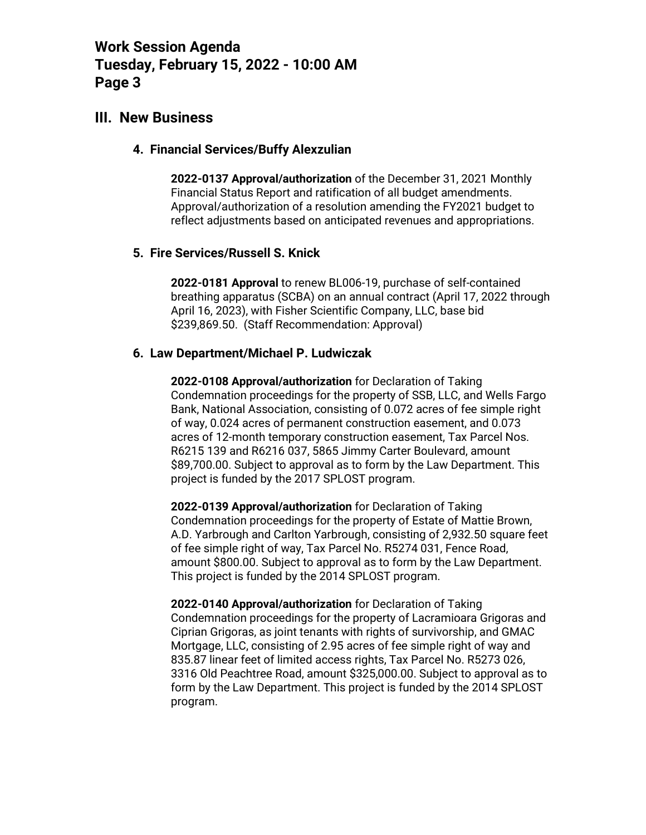## **III. New Business**

#### **4. Financial Services/Buffy Alexzulian**

**2022-0137 Approval/authorization** of the December 31, 2021 Monthly Financial Status Report and ratification of all budget amendments. Approval/authorization of a resolution amending the FY2021 budget to reflect adjustments based on anticipated revenues and appropriations.

#### **5. Fire Services/Russell S. Knick**

**2022-0181 Approval** to renew BL006-19, purchase of self-contained breathing apparatus (SCBA) on an annual contract (April 17, 2022 through April 16, 2023), with Fisher Scientific Company, LLC, base bid \$239,869.50. (Staff Recommendation: Approval)

#### **6. Law Department/Michael P. Ludwiczak**

**2022-0108 Approval/authorization** for Declaration of Taking Condemnation proceedings for the property of SSB, LLC, and Wells Fargo Bank, National Association, consisting of 0.072 acres of fee simple right of way, 0.024 acres of permanent construction easement, and 0.073 acres of 12-month temporary construction easement, Tax Parcel Nos. R6215 139 and R6216 037, 5865 Jimmy Carter Boulevard, amount \$89,700.00. Subject to approval as to form by the Law Department. This project is funded by the 2017 SPLOST program.

**2022-0139 Approval/authorization** for Declaration of Taking Condemnation proceedings for the property of Estate of Mattie Brown, A.D. Yarbrough and Carlton Yarbrough, consisting of 2,932.50 square feet of fee simple right of way, Tax Parcel No. R5274 031, Fence Road, amount \$800.00. Subject to approval as to form by the Law Department. This project is funded by the 2014 SPLOST program.

**2022-0140 Approval/authorization** for Declaration of Taking Condemnation proceedings for the property of Lacramioara Grigoras and Ciprian Grigoras, as joint tenants with rights of survivorship, and GMAC Mortgage, LLC, consisting of 2.95 acres of fee simple right of way and 835.87 linear feet of limited access rights, Tax Parcel No. R5273 026, 3316 Old Peachtree Road, amount \$325,000.00. Subject to approval as to form by the Law Department. This project is funded by the 2014 SPLOST program.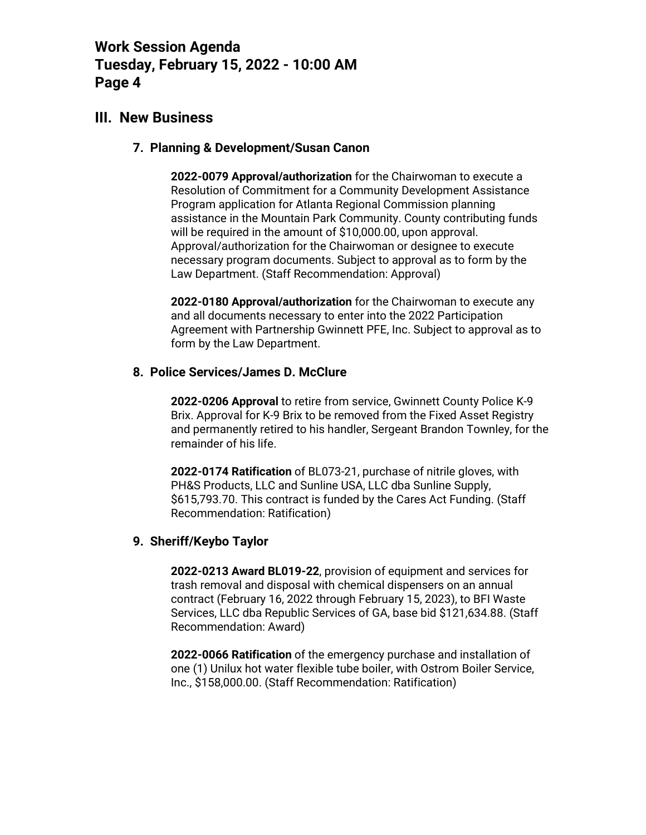## **III. New Business**

### **7. Planning & Development/Susan Canon**

**2022-0079 Approval/authorization** for the Chairwoman to execute a Resolution of Commitment for a Community Development Assistance Program application for Atlanta Regional Commission planning assistance in the Mountain Park Community. County contributing funds will be required in the amount of \$10,000.00, upon approval. Approval/authorization for the Chairwoman or designee to execute necessary program documents. Subject to approval as to form by the Law Department. (Staff Recommendation: Approval)

**2022-0180 Approval/authorization** for the Chairwoman to execute any and all documents necessary to enter into the 2022 Participation Agreement with Partnership Gwinnett PFE, Inc. Subject to approval as to form by the Law Department.

## **8. Police Services/James D. McClure**

**2022-0206 Approval** to retire from service, Gwinnett County Police K-9 Brix. Approval for K-9 Brix to be removed from the Fixed Asset Registry and permanently retired to his handler, Sergeant Brandon Townley, for the remainder of his life.

**2022-0174 Ratification** of BL073-21, purchase of nitrile gloves, with PH&S Products, LLC and Sunline USA, LLC dba Sunline Supply, \$615,793.70. This contract is funded by the Cares Act Funding. (Staff Recommendation: Ratification)

## **9. Sheriff/Keybo Taylor**

**2022-0213 Award BL019-22**, provision of equipment and services for trash removal and disposal with chemical dispensers on an annual contract (February 16, 2022 through February 15, 2023), to BFI Waste Services, LLC dba Republic Services of GA, base bid \$121,634.88. (Staff Recommendation: Award)

**2022-0066 Ratification** of the emergency purchase and installation of one (1) Unilux hot water flexible tube boiler, with Ostrom Boiler Service, Inc., \$158,000.00. (Staff Recommendation: Ratification)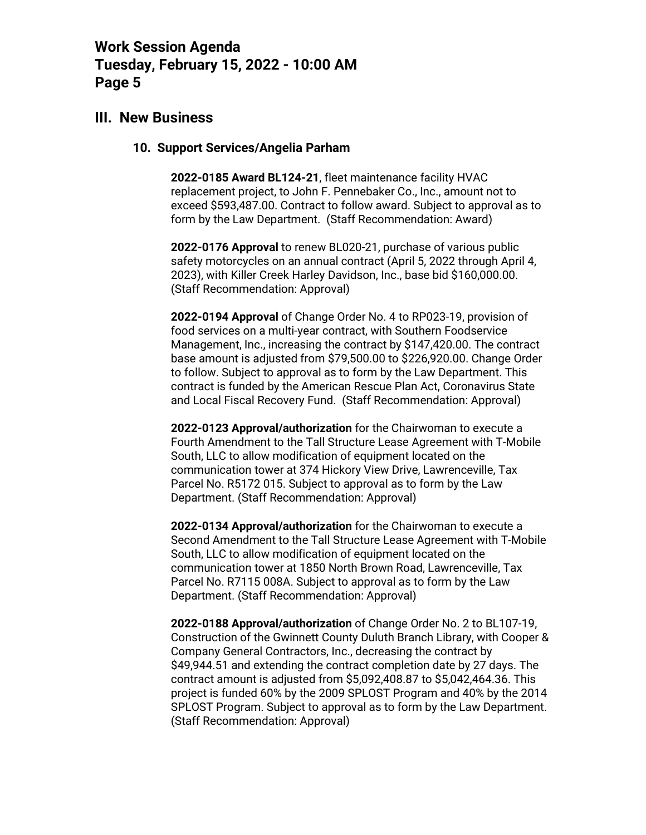## **III. New Business**

#### **10. Support Services/Angelia Parham**

**2022-0185 Award BL124-21**, fleet maintenance facility HVAC replacement project, to John F. Pennebaker Co., Inc., amount not to exceed \$593,487.00. Contract to follow award. Subject to approval as to form by the Law Department. (Staff Recommendation: Award)

**2022-0176 Approval** to renew BL020-21, purchase of various public safety motorcycles on an annual contract (April 5, 2022 through April 4, 2023), with Killer Creek Harley Davidson, Inc., base bid \$160,000.00. (Staff Recommendation: Approval)

**2022-0194 Approval** of Change Order No. 4 to RP023-19, provision of food services on a multi-year contract, with Southern Foodservice Management, Inc., increasing the contract by \$147,420.00. The contract base amount is adjusted from \$79,500.00 to \$226,920.00. Change Order to follow. Subject to approval as to form by the Law Department. This contract is funded by the American Rescue Plan Act, Coronavirus State and Local Fiscal Recovery Fund. (Staff Recommendation: Approval)

**2022-0123 Approval/authorization** for the Chairwoman to execute a Fourth Amendment to the Tall Structure Lease Agreement with T-Mobile South, LLC to allow modification of equipment located on the communication tower at 374 Hickory View Drive, Lawrenceville, Tax Parcel No. R5172 015. Subject to approval as to form by the Law Department. (Staff Recommendation: Approval)

**2022-0134 Approval/authorization** for the Chairwoman to execute a Second Amendment to the Tall Structure Lease Agreement with T-Mobile South, LLC to allow modification of equipment located on the communication tower at 1850 North Brown Road, Lawrenceville, Tax Parcel No. R7115 008A. Subject to approval as to form by the Law Department. (Staff Recommendation: Approval)

**2022-0188 Approval/authorization** of Change Order No. 2 to BL107-19, Construction of the Gwinnett County Duluth Branch Library, with Cooper & Company General Contractors, Inc., decreasing the contract by \$49,944.51 and extending the contract completion date by 27 days. The contract amount is adjusted from \$5,092,408.87 to \$5,042,464.36. This project is funded 60% by the 2009 SPLOST Program and 40% by the 2014 SPLOST Program. Subject to approval as to form by the Law Department. (Staff Recommendation: Approval)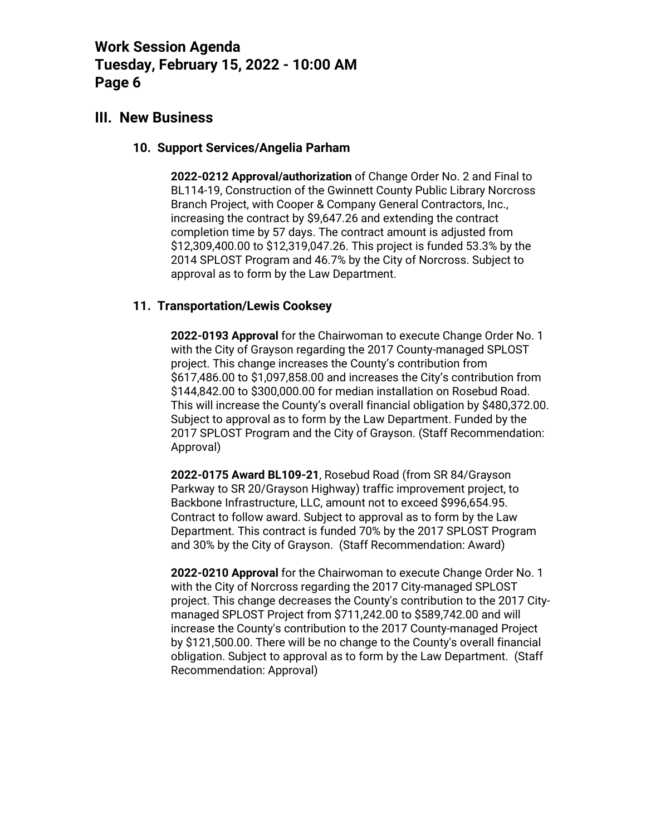## **III. New Business**

### **10. Support Services/Angelia Parham**

**2022-0212 Approval/authorization** of Change Order No. 2 and Final to BL114-19, Construction of the Gwinnett County Public Library Norcross Branch Project, with Cooper & Company General Contractors, Inc., increasing the contract by \$9,647.26 and extending the contract completion time by 57 days. The contract amount is adjusted from \$12,309,400.00 to \$12,319,047.26. This project is funded 53.3% by the 2014 SPLOST Program and 46.7% by the City of Norcross. Subject to approval as to form by the Law Department.

## **11. Transportation/Lewis Cooksey**

**2022-0193 Approval** for the Chairwoman to execute Change Order No. 1 with the City of Grayson regarding the 2017 County-managed SPLOST project. This change increases the County's contribution from \$617,486.00 to \$1,097,858.00 and increases the City's contribution from \$144,842.00 to \$300,000.00 for median installation on Rosebud Road. This will increase the County's overall financial obligation by \$480,372.00. Subject to approval as to form by the Law Department. Funded by the 2017 SPLOST Program and the City of Grayson. (Staff Recommendation: Approval)

**2022-0175 Award BL109-21**, Rosebud Road (from SR 84/Grayson Parkway to SR 20/Grayson Highway) traffic improvement project, to Backbone Infrastructure, LLC, amount not to exceed \$996,654.95. Contract to follow award. Subject to approval as to form by the Law Department. This contract is funded 70% by the 2017 SPLOST Program and 30% by the City of Grayson. (Staff Recommendation: Award)

**2022-0210 Approval** for the Chairwoman to execute Change Order No. 1 with the City of Norcross regarding the 2017 City-managed SPLOST project. This change decreases the County's contribution to the 2017 Citymanaged SPLOST Project from \$711,242.00 to \$589,742.00 and will increase the County's contribution to the 2017 County-managed Project by \$121,500.00. There will be no change to the County's overall financial obligation. Subject to approval as to form by the Law Department. (Staff Recommendation: Approval)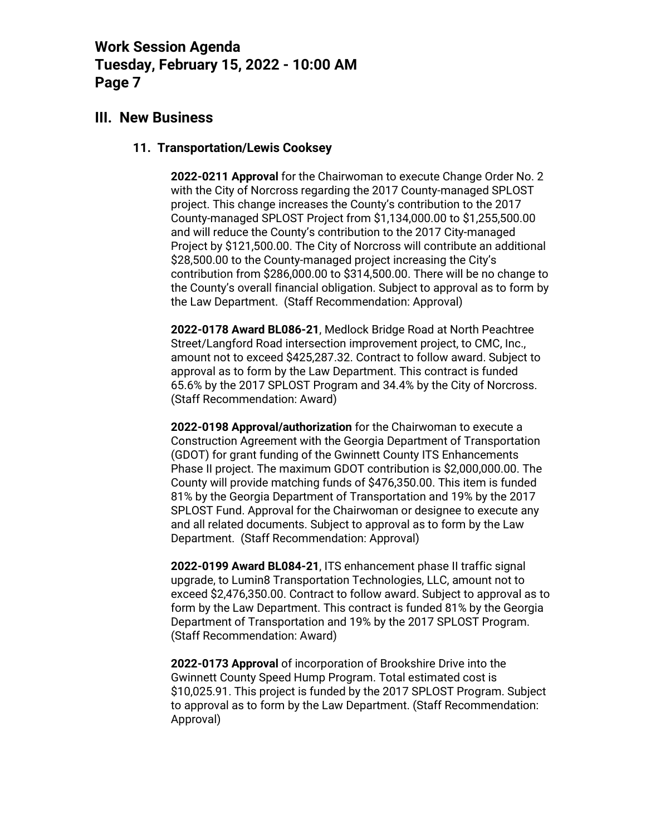## **III. New Business**

### **11. Transportation/Lewis Cooksey**

**2022-0211 Approval** for the Chairwoman to execute Change Order No. 2 with the City of Norcross regarding the 2017 County-managed SPLOST project. This change increases the County's contribution to the 2017 County-managed SPLOST Project from \$1,134,000.00 to \$1,255,500.00 and will reduce the County's contribution to the 2017 City-managed Project by \$121,500.00. The City of Norcross will contribute an additional \$28,500.00 to the County-managed project increasing the City's contribution from \$286,000.00 to \$314,500.00. There will be no change to the County's overall financial obligation. Subject to approval as to form by the Law Department. (Staff Recommendation: Approval)

**2022-0178 Award BL086-21**, Medlock Bridge Road at North Peachtree Street/Langford Road intersection improvement project, to CMC, Inc., amount not to exceed \$425,287.32. Contract to follow award. Subject to approval as to form by the Law Department. This contract is funded 65.6% by the 2017 SPLOST Program and 34.4% by the City of Norcross. (Staff Recommendation: Award)

**2022-0198 Approval/authorization** for the Chairwoman to execute a Construction Agreement with the Georgia Department of Transportation (GDOT) for grant funding of the Gwinnett County ITS Enhancements Phase II project. The maximum GDOT contribution is \$2,000,000.00. The County will provide matching funds of \$476,350.00. This item is funded 81% by the Georgia Department of Transportation and 19% by the 2017 SPLOST Fund. Approval for the Chairwoman or designee to execute any and all related documents. Subject to approval as to form by the Law Department. (Staff Recommendation: Approval)

**2022-0199 Award BL084-21**, ITS enhancement phase II traffic signal upgrade, to Lumin8 Transportation Technologies, LLC, amount not to exceed \$2,476,350.00. Contract to follow award. Subject to approval as to form by the Law Department. This contract is funded 81% by the Georgia Department of Transportation and 19% by the 2017 SPLOST Program. (Staff Recommendation: Award)

**2022-0173 Approval** of incorporation of Brookshire Drive into the Gwinnett County Speed Hump Program. Total estimated cost is \$10,025.91. This project is funded by the 2017 SPLOST Program. Subject to approval as to form by the Law Department. (Staff Recommendation: Approval)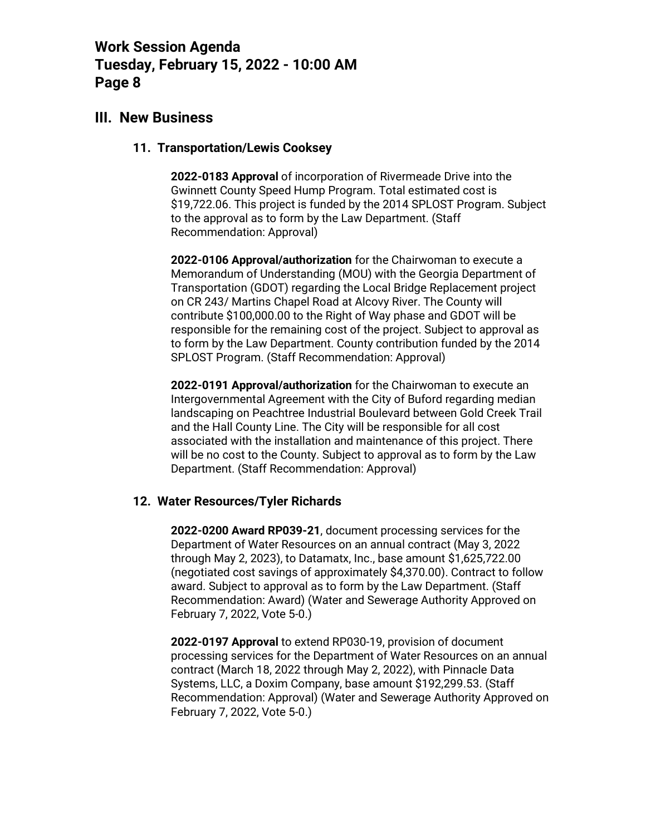## **III. New Business**

#### **11. Transportation/Lewis Cooksey**

**2022-0183 Approval** of incorporation of Rivermeade Drive into the Gwinnett County Speed Hump Program. Total estimated cost is \$19,722.06. This project is funded by the 2014 SPLOST Program. Subject to the approval as to form by the Law Department. (Staff Recommendation: Approval)

**2022-0106 Approval/authorization** for the Chairwoman to execute a Memorandum of Understanding (MOU) with the Georgia Department of Transportation (GDOT) regarding the Local Bridge Replacement project on CR 243/ Martins Chapel Road at Alcovy River. The County will contribute \$100,000.00 to the Right of Way phase and GDOT will be responsible for the remaining cost of the project. Subject to approval as to form by the Law Department. County contribution funded by the 2014 SPLOST Program. (Staff Recommendation: Approval)

**2022-0191 Approval/authorization** for the Chairwoman to execute an Intergovernmental Agreement with the City of Buford regarding median landscaping on Peachtree Industrial Boulevard between Gold Creek Trail and the Hall County Line. The City will be responsible for all cost associated with the installation and maintenance of this project. There will be no cost to the County. Subject to approval as to form by the Law Department. (Staff Recommendation: Approval)

## **12. Water Resources/Tyler Richards**

**2022-0200 Award RP039-21**, document processing services for the Department of Water Resources on an annual contract (May 3, 2022 through May 2, 2023), to Datamatx, Inc., base amount \$1,625,722.00 (negotiated cost savings of approximately \$4,370.00). Contract to follow award. Subject to approval as to form by the Law Department. (Staff Recommendation: Award) (Water and Sewerage Authority Approved on February 7, 2022, Vote 5-0.)

**2022-0197 Approval** to extend RP030-19, provision of document processing services for the Department of Water Resources on an annual contract (March 18, 2022 through May 2, 2022), with Pinnacle Data Systems, LLC, a Doxim Company, base amount \$192,299.53. (Staff Recommendation: Approval) (Water and Sewerage Authority Approved on February 7, 2022, Vote 5-0.)